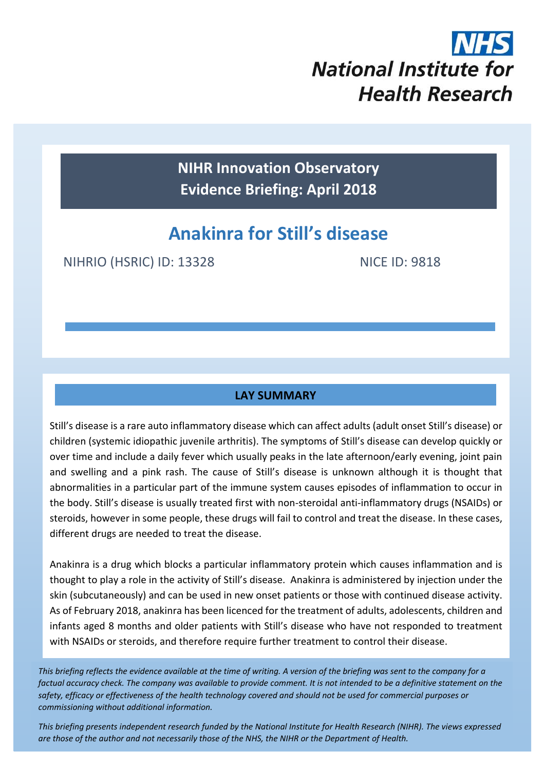

**NIHR Innovation Observatory Evidence Briefing: April 2018**

# **Anakinra for Still's disease**

NIHRIO (HSRIC) ID: 13328 NICE ID: 9818

## **LAY SUMMARY**

Still's disease is a rare auto inflammatory disease which can affect adults (adult onset Still's disease) or children (systemic idiopathic juvenile arthritis). The symptoms of Still's disease can develop quickly or over time and include a daily fever which usually peaks in the late afternoon/early evening, joint pain and swelling and a pink rash. The cause of Still's disease is unknown although it is thought that abnormalities in a particular part of the immune system causes episodes of inflammation to occur in the body. Still's disease is usually treated first with non-steroidal anti-inflammatory drugs (NSAIDs) or steroids, however in some people, these drugs will fail to control and treat the disease. In these cases, different drugs are needed to treat the disease.

Anakinra is a drug which blocks a particular inflammatory protein which causes inflammation and is thought to play a role in the activity of Still's disease. Anakinra is administered by injection under the skin (subcutaneously) and can be used in new onset patients or those with continued disease activity. As of February 2018, anakinra has been licenced for the treatment of adults, adolescents, children and infants aged 8 months and older patients with Still's disease who have not responded to treatment with NSAIDs or steroids, and therefore require further treatment to control their disease.

*This briefing reflects the evidence available at the time of writing. A version of the briefing was sent to the company for a factual accuracy check. The company was available to provide comment. It is not intended to be a definitive statement on the safety, efficacy or effectiveness of the health technology covered and should not be used for commercial purposes or commissioning without additional information.*

1 *This briefing presents independent research funded by the National Institute for Health Research (NIHR). The views expressed are those of the author and not necessarily those of the NHS, the NIHR or the Department of Health.*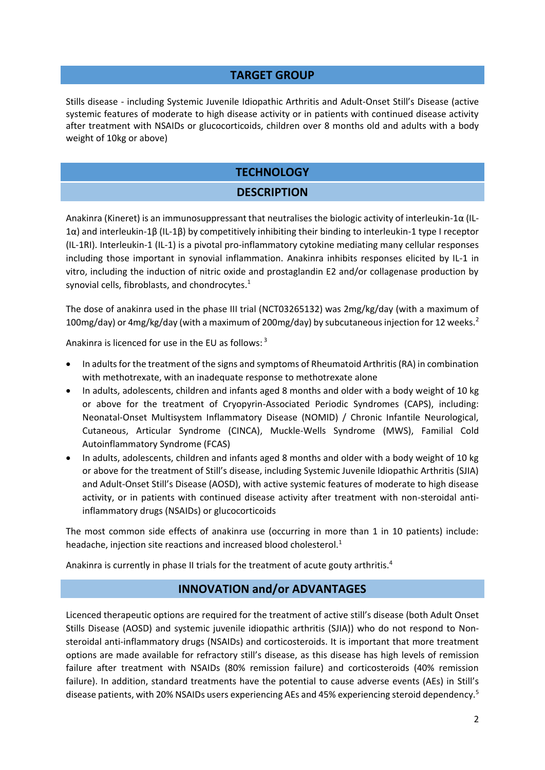#### **TARGET GROUP**

Stills disease - including Systemic Juvenile Idiopathic Arthritis and Adult-Onset Still's Disease (active systemic features of moderate to high disease activity or in patients with continued disease activity after treatment with NSAIDs or glucocorticoids, children over 8 months old and adults with a body weight of 10kg or above)

## **TECHNOLOGY**

## <span id="page-1-3"></span><span id="page-1-1"></span><span id="page-1-0"></span>**DESCRIPTION**

Anakinra (Kineret) is an immunosuppressant that neutralises the biologic activity of interleukin-1α (IL-1α) and interleukin-1β (IL-1β) by competitively inhibiting their binding to interleukin-1 type I receptor (IL-1RI). Interleukin-1 (IL-1) is a pivotal pro-inflammatory cytokine mediating many cellular responses including those important in synovial inflammation. Anakinra inhibits responses elicited by IL-1 in vitro, including the induction of nitric oxide and prostaglandin E2 and/or collagenase production by synovial cells, fibroblasts, and chondrocytes. $1$ 

The dose of anakinra used in the phase III trial (NCT03265132) was 2mg/kg/day (with a maximum of 100mg/day) or 4mg/kg/day (with a maximum of 200mg/day) by subcutaneous injection for 12 weeks.<sup>2</sup>

Anakinra is licenced for use in the EU as follows: <sup>3</sup>

- In adults for the treatment of the signs and symptoms of Rheumatoid Arthritis (RA) in combination with methotrexate, with an inadequate response to methotrexate alone
- In adults, adolescents, children and infants aged 8 months and older with a body weight of 10 kg or above for the treatment of Cryopyrin-Associated Periodic Syndromes (CAPS), including: Neonatal-Onset Multisystem Inflammatory Disease (NOMID) / Chronic Infantile Neurological, Cutaneous, Articular Syndrome (CINCA), Muckle-Wells Syndrome (MWS), Familial Cold Autoinflammatory Syndrome (FCAS)
- In adults, adolescents, children and infants aged 8 months and older with a body weight of 10 kg or above for the treatment of Still's disease, including Systemic Juvenile Idiopathic Arthritis (SJIA) and Adult-Onset Still's Disease (AOSD), with active systemic features of moderate to high disease activity, or in patients with continued disease activity after treatment with non-steroidal antiinflammatory drugs (NSAIDs) or glucocorticoids

The most common side effects of anakinra use (occurring in more than 1 in 10 patients) include: headache, injection site reactions and increased blood cholesterol.<sup>[1](#page-1-0)</sup>

Anakinra is currently in phase II trials for the treatment of acute gouty arthritis.<sup>4</sup>

#### <span id="page-1-2"></span>**INNOVATION and/or ADVANTAGES**

Licenced therapeutic options are required for the treatment of active still's disease (both Adult Onset Stills Disease (AOSD) and systemic juvenile idiopathic arthritis (SJIA)) who do not respond to Nonsteroidal anti-inflammatory drugs (NSAIDs) and corticosteroids. It is important that more treatment options are made available for refractory still's disease, as this disease has high levels of remission failure after treatment with NSAIDs (80% remission failure) and corticosteroids (40% remission failure). In addition, standard treatments have the potential to cause adverse events (AEs) in Still's disease patients, with 20% NSAIDs users experiencing AEs and 45% experiencing steroid dependency.<sup>5</sup>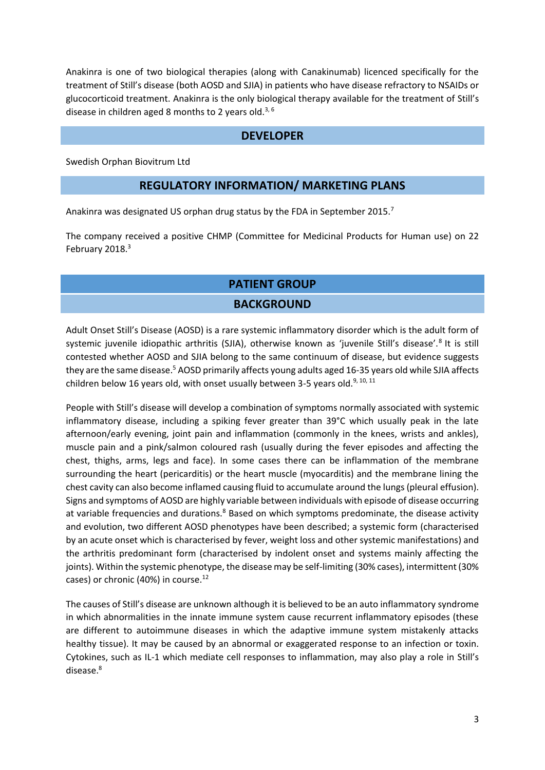Anakinra is one of two biological therapies (along with Canakinumab) licenced specifically for the treatment of Still's disease (both AOSD and SJIA) in patients who have disease refractory to NSAIDs or glucocorticoid treatment. Anakinra is the only biological therapy available for the treatment of Still's disease in children aged 8 months to 2 years old.<sup>[3,](#page-1-1) 6</sup>

#### <span id="page-2-4"></span>**DEVELOPER**

Swedish Orphan Biovitrum Ltd

#### **REGULATORY INFORMATION/ MARKETING PLANS**

Anakinra was designated US orphan drug status by the FDA in September 2015.<sup>7</sup>

The company received a positive CHMP (Committee for Medicinal Products for Human use) on 22 February 2018[.](#page-1-1)<sup>3</sup>

## **PATIENT GROUP**

#### <span id="page-2-3"></span><span id="page-2-2"></span><span id="page-2-1"></span><span id="page-2-0"></span>**BACKGROUND**

Adult Onset Still's Disease (AOSD) is a rare systemic inflammatory disorder which is the adult form of systemic juvenile idiopathic arthritis (SJIA), otherwise known as 'juvenile Still's disease'.<sup>8</sup> It is still contested whether AOSD and SJIA belong to the same continuum of disease, but evidence suggests they are the same disease.<sup>[5](#page-1-2)</sup> AOSD primarily affects young adults aged 16-35 years old while SJIA affects children below 16 years old, with onset usually between 3-5 years old.<sup>9, 10, 11</sup>

People with Still's disease will develop a combination of symptoms normally associated with systemic inflammatory disease, including a spiking fever greater than 39°C which usually peak in the late afternoon/early evening, joint pain and inflammation (commonly in the knees, wrists and ankles), muscle pain and a pink/salmon coloured rash (usually during the fever episodes and affecting the chest, thighs, arms, legs and face). In some cases there can be inflammation of the membrane surrounding the heart (pericarditis) or the heart muscle (myocarditis) and the membrane lining the chest cavity can also become inflamed causing fluid to accumulate around the lungs (pleural effusion). Signs and symptoms of AOSD are highly variable between individuals with episode of disease occurring at variable frequencies and durations.<sup>[8](#page-2-0)</sup> Based on which symptoms predominate, the disease activity and evolution, two different AOSD phenotypes have been described; a systemic form (characterised by an acute onset which is characterised by fever, weight loss and other systemic manifestations) and the arthritis predominant form (characterised by indolent onset and systems mainly affecting the joints). Within the systemic phenotype, the disease may be self-limiting (30% cases), intermittent (30% cases) or chronic (40%) in course. $^{12}$  $^{12}$  $^{12}$ 

The causes of Still's disease are unknown although it is believed to be an auto inflammatory syndrome in which abnormalities in the innate immune system cause recurrent inflammatory episodes (these are different to autoimmune diseases in which the adaptive immune system mistakenly attacks healthy tissue). It may be caused by an abnormal or exaggerated response to an infection or toxin. Cytokines, such as IL-1 which mediate cell responses to inflammation, may also play a role in Still's disease.[8](#page-2-0)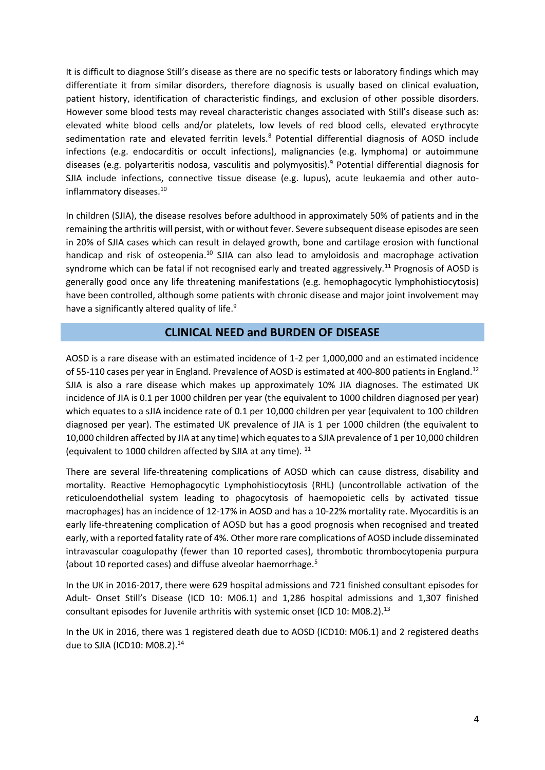It is difficult to diagnose Still's disease as there are no specific tests or laboratory findings which may differentiate it from similar disorders, therefore diagnosis is usually based on clinical evaluation, patient history, identification of characteristic findings, and exclusion of other possible disorders. However some blood tests may reveal characteristic changes associated with Still's disease such as: elevated white blood cells and/or platelets, low levels of red blood cells, elevated erythrocyte sedimentation rate and elevated ferritin levels.<sup>[8](#page-2-0)</sup> Potential differential diagnosis of AOSD include infections (e.g. endocarditis or occult infections), malignancies (e.g. lymphoma) or autoimmune diseases (e[.](#page-2-1)g. polyarteritis nodosa, vasculitis and polymyositis).<sup>9</sup> Potential differential diagnosis for SJIA include infections, connective tissue disease (e.g. lupus), acute leukaemia and other auto-inflammatory diseases.<sup>[10](#page-2-2)</sup>

In children (SJIA), the disease resolves before adulthood in approximately 50% of patients and in the remaining the arthritis will persist, with or without fever. Severe subsequent disease episodes are seen in 20% of SJIA cases which can result in delayed growth, bone and cartilage erosion with functional handicap and risk of osteopenia.<sup>[10](#page-2-2)</sup> SJIA can also lead to amyloidosis and macrophage activation syndrome which can be fatal if not recognised early and treated aggressively.<sup>[11](#page-2-3)</sup> Prognosis of AOSD is generally good once any life threatening manifestations (e.g. hemophagocytic lymphohistiocytosis) have been controlled, although some patients with chronic disease and major joint involvement may have a significantly altered quality of life.<sup>[9](#page-2-1)</sup>

#### <span id="page-3-0"></span>**CLINICAL NEED and BURDEN OF DISEASE**

AOSD is a rare disease with an estimated incidence of 1-2 per 1,000,000 and an estimated incidence of 55-110 cases per year in England. Prevalence of AOSD is estimated at 400-800 patients in England.<sup>12</sup> SJIA is also a rare disease which makes up approximately 10% JIA diagnoses. The estimated UK incidence of JIA is 0.1 per 1000 children per year (the equivalent to 1000 children diagnosed per year) which equates to a sJIA incidence rate of 0.1 per 10,000 children per year (equivalent to 100 children diagnosed per year). The estimated UK prevalence of JIA is 1 per 1000 children (the equivalent to 10,000 children affected by JIA at any time) which equates to a SJIA prevalence of 1 per 10,000 children (equivalent to 1000 children affected by SJIA at any time). <sup>[11](#page-2-3)</sup>

There are several life-threatening complications of AOSD which can cause distress, disability and mortality. Reactive Hemophagocytic Lymphohistiocytosis (RHL) (uncontrollable activation of the reticuloendothelial system leading to phagocytosis of haemopoietic cells by activated tissue macrophages) has an incidence of 12-17% in AOSD and has a 10-22% mortality rate. Myocarditis is an early life-threatening complication of AOSD but has a good prognosis when recognised and treated early, with a reported fatality rate of 4%. Other more rare complications of AOSD include disseminated intravascular coagulopathy (fewer than 10 reported cases), thrombotic thrombocytopenia purpura (about 10 reported cases) and diffuse alveolar haemorrhage[.](#page-1-2)<sup>5</sup>

In the UK in 2016-2017, there were 629 hospital admissions and 721 finished consultant episodes for Adult- Onset Still's Disease (ICD 10: M06.1) and 1,286 hospital admissions and 1,307 finished consultant episodes for Juvenile arthritis with systemic onset (ICD 10: M08.2).<sup>13</sup>

In the UK in 2016, there was 1 registered death due to AOSD (ICD10: M06.1) and 2 registered deaths due to SJIA (ICD10: M08.2).<sup>14</sup>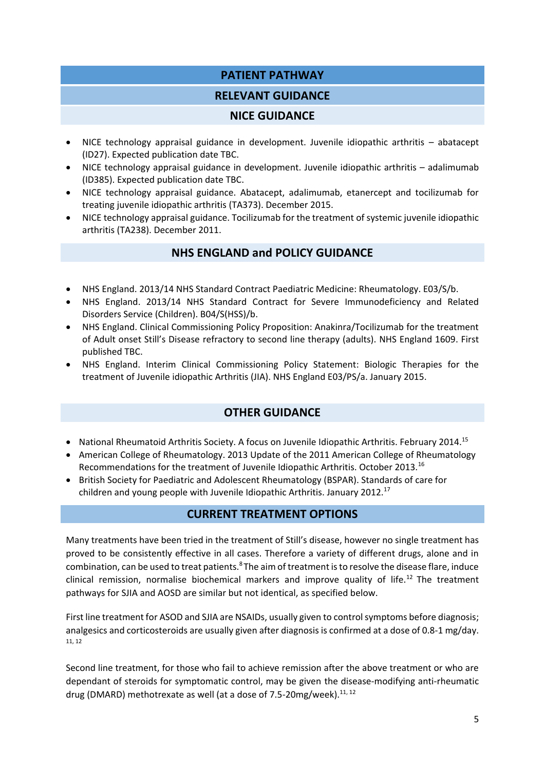## **PATIENT PATHWAY**

## **RELEVANT GUIDANCE**

#### **NICE GUIDANCE**

- NICE technology appraisal guidance in development. Juvenile idiopathic arthritis abatacept (ID27). Expected publication date TBC.
- NICE technology appraisal guidance in development. Juvenile idiopathic arthritis adalimumab (ID385). Expected publication date TBC.
- NICE technology appraisal guidance. Abatacept, adalimumab, etanercept and tocilizumab for treating juvenile idiopathic arthritis (TA373). December 2015.
- NICE technology appraisal guidance. Tocilizumab for the treatment of systemic juvenile idiopathic arthritis (TA238). December 2011.

## **NHS ENGLAND and POLICY GUIDANCE**

- NHS England. 2013/14 NHS Standard Contract Paediatric Medicine: Rheumatology. E03/S/b.
- NHS England. 2013/14 NHS Standard Contract for Severe Immunodeficiency and Related Disorders Service (Children). B04/S(HSS)/b.
- NHS England. Clinical Commissioning Policy Proposition: Anakinra/Tocilizumab for the treatment of Adult onset Still's Disease refractory to second line therapy (adults). NHS England 1609. First published TBC.
- NHS England. Interim Clinical Commissioning Policy Statement: Biologic Therapies for the treatment of Juvenile idiopathic Arthritis (JIA). NHS England E03/PS/a. January 2015.

## **OTHER GUIDANCE**

- National Rheumatoid Arthritis Society. A focus on Juvenile Idiopathic Arthritis. February 2014.<sup>15</sup>
- American College of Rheumatology. 2013 Update of the 2011 American College of Rheumatology Recommendations for the treatment of Juvenile Idiopathic Arthritis. October 2013.<sup>16</sup>
- British Society for Paediatric and Adolescent Rheumatology (BSPAR). Standards of care for children and young people with Juvenile Idiopathic Arthritis. January 2012.<sup>17</sup>

#### **CURRENT TREATMENT OPTIONS**

Many treatments have been tried in the treatment of Still's disease, however no single treatment has proved to be consistently effective in all cases. Therefore a variety of different drugs, alone and in combination, can be used to treat patients[.](#page-2-0)<sup>8</sup> The aim of treatment is to resolve the disease flare, induce clinical remission, normalise biochemical markers and improve quality of life.<sup>[12](#page-3-0)</sup> The treatment pathways for SJIA and AOSD are similar but not identical, as specified below.

First line treatment for ASOD and SJIA are NSAIDs, usually given to control symptoms before diagnosis; analgesics and corticosteroids are usually given after diagnosis is confirmed at a dose of 0.8-1 mg/day. [11,](#page-2-3) [12](#page-3-0)

Second line treatment, for those who fail to achieve remission after the above treatment or who are dependant of steroids for symptomatic control, may be given the disease-modifying anti-rheumatic drug (DMARD) methotrexate as well (at a dose of 7.5-20mg/week). $^{11, 12}$  $^{11, 12}$  $^{11, 12}$  $^{11, 12}$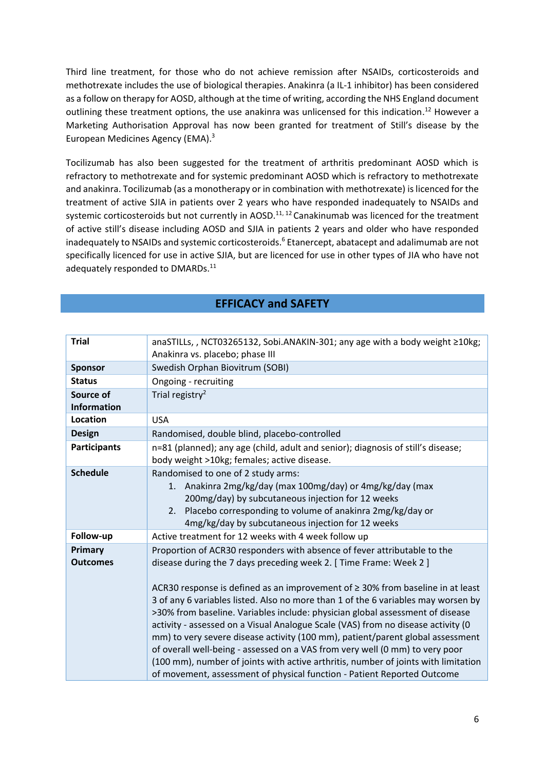Third line treatment, for those who do not achieve remission after NSAIDs, corticosteroids and methotrexate includes the use of biological therapies. Anakinra (a IL-1 inhibitor) has been considered as a follow on therapy for AOSD, although at the time of writing, according the NHS England document outlining these treatment options, the use anakinra was unlicensed for this indication.<sup>[12](#page-3-0)</sup> However a Marketing Authorisation Approval has now been granted for treatment of Still's disease by the European Medicines Agency (EMA)[.](#page-1-1) 3

Tocilizumab has also been suggested for the treatment of arthritis predominant AOSD which is refractory to methotrexate and for systemic predominant AOSD which is refractory to methotrexate and anakinra. Tocilizumab (as a monotherapy or in combination with methotrexate) is licenced for the treatment of active SJIA in patients over 2 years who have responded inadequately to NSAIDs and systemic corticosteroids but not currently in AOSD.<sup>[11,](#page-2-3) [12](#page-3-0)</sup> Canakinumab was licenced for the treatment of active still's disease including AOSD and SJIA in patients 2 years and older who have responded inadequately to NSAIDs and systemic corticosteroids.<sup>[6](#page-2-4)</sup> Etanercept, abatacept and adalimumab are not specifically licenced for use in active SJIA, but are licenced for use in other types of JIA who have not adequately responded to DMARDs.<sup>[11](#page-2-3)</sup>

## **EFFICACY and SAFETY**

| <b>Trial</b>                    | anaSTILLs,, NCT03265132, Sobi.ANAKIN-301; any age with a body weight ≥10kg;<br>Anakinra vs. placebo; phase III                                                                                                                                                                                                                                                                                                                                                                                                                                                                                                                                                                                                                                                                                                                     |
|---------------------------------|------------------------------------------------------------------------------------------------------------------------------------------------------------------------------------------------------------------------------------------------------------------------------------------------------------------------------------------------------------------------------------------------------------------------------------------------------------------------------------------------------------------------------------------------------------------------------------------------------------------------------------------------------------------------------------------------------------------------------------------------------------------------------------------------------------------------------------|
| <b>Sponsor</b>                  | Swedish Orphan Biovitrum (SOBI)                                                                                                                                                                                                                                                                                                                                                                                                                                                                                                                                                                                                                                                                                                                                                                                                    |
| <b>Status</b>                   | Ongoing - recruiting                                                                                                                                                                                                                                                                                                                                                                                                                                                                                                                                                                                                                                                                                                                                                                                                               |
| Source of<br><b>Information</b> | Trial registry <sup>2</sup>                                                                                                                                                                                                                                                                                                                                                                                                                                                                                                                                                                                                                                                                                                                                                                                                        |
| <b>Location</b>                 | <b>USA</b>                                                                                                                                                                                                                                                                                                                                                                                                                                                                                                                                                                                                                                                                                                                                                                                                                         |
| <b>Design</b>                   | Randomised, double blind, placebo-controlled                                                                                                                                                                                                                                                                                                                                                                                                                                                                                                                                                                                                                                                                                                                                                                                       |
| <b>Participants</b>             | n=81 (planned); any age (child, adult and senior); diagnosis of still's disease;<br>body weight >10kg; females; active disease.                                                                                                                                                                                                                                                                                                                                                                                                                                                                                                                                                                                                                                                                                                    |
| <b>Schedule</b>                 | Randomised to one of 2 study arms:<br>Anakinra 2mg/kg/day (max 100mg/day) or 4mg/kg/day (max<br>1.<br>200mg/day) by subcutaneous injection for 12 weeks<br>2. Placebo corresponding to volume of anakinra 2mg/kg/day or<br>4mg/kg/day by subcutaneous injection for 12 weeks                                                                                                                                                                                                                                                                                                                                                                                                                                                                                                                                                       |
| Follow-up                       | Active treatment for 12 weeks with 4 week follow up                                                                                                                                                                                                                                                                                                                                                                                                                                                                                                                                                                                                                                                                                                                                                                                |
| Primary<br><b>Outcomes</b>      | Proportion of ACR30 responders with absence of fever attributable to the<br>disease during the 7 days preceding week 2. [ Time Frame: Week 2 ]<br>ACR30 response is defined as an improvement of $\geq$ 30% from baseline in at least<br>3 of any 6 variables listed. Also no more than 1 of the 6 variables may worsen by<br>>30% from baseline. Variables include: physician global assessment of disease<br>activity - assessed on a Visual Analogue Scale (VAS) from no disease activity (0<br>mm) to very severe disease activity (100 mm), patient/parent global assessment<br>of overall well-being - assessed on a VAS from very well (0 mm) to very poor<br>(100 mm), number of joints with active arthritis, number of joints with limitation<br>of movement, assessment of physical function - Patient Reported Outcome |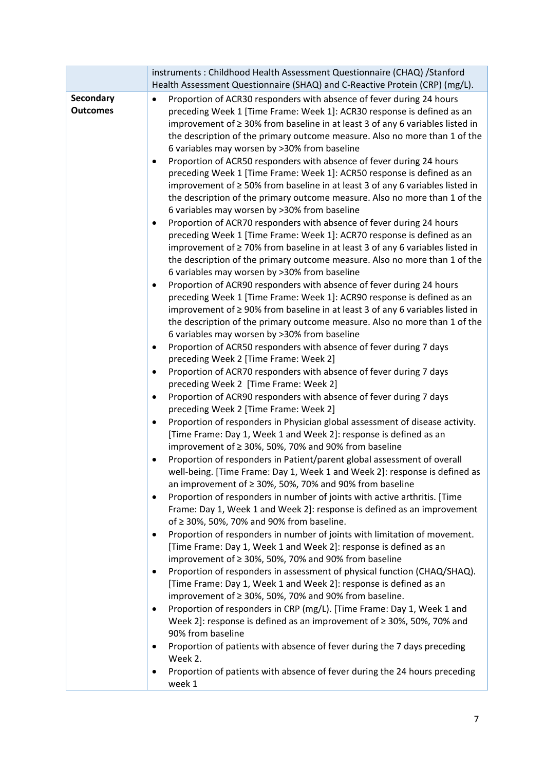|                              | instruments: Childhood Health Assessment Questionnaire (CHAQ) / Stanford                                                                                                                                                                                                                                                                                                        |  |
|------------------------------|---------------------------------------------------------------------------------------------------------------------------------------------------------------------------------------------------------------------------------------------------------------------------------------------------------------------------------------------------------------------------------|--|
|                              | Health Assessment Questionnaire (SHAQ) and C-Reactive Protein (CRP) (mg/L).                                                                                                                                                                                                                                                                                                     |  |
| Secondary<br><b>Outcomes</b> | Proportion of ACR30 responders with absence of fever during 24 hours<br>$\bullet$<br>preceding Week 1 [Time Frame: Week 1]: ACR30 response is defined as an<br>improvement of $\geq$ 30% from baseline in at least 3 of any 6 variables listed in<br>the description of the primary outcome measure. Also no more than 1 of the<br>6 variables may worsen by >30% from baseline |  |
|                              | Proportion of ACR50 responders with absence of fever during 24 hours<br>٠<br>preceding Week 1 [Time Frame: Week 1]: ACR50 response is defined as an<br>improvement of $\geq$ 50% from baseline in at least 3 of any 6 variables listed in<br>the description of the primary outcome measure. Also no more than 1 of the<br>6 variables may worsen by >30% from baseline         |  |
|                              | Proportion of ACR70 responders with absence of fever during 24 hours<br>٠<br>preceding Week 1 [Time Frame: Week 1]: ACR70 response is defined as an<br>improvement of $\geq$ 70% from baseline in at least 3 of any 6 variables listed in<br>the description of the primary outcome measure. Also no more than 1 of the<br>6 variables may worsen by >30% from baseline         |  |
|                              | Proportion of ACR90 responders with absence of fever during 24 hours<br>preceding Week 1 [Time Frame: Week 1]: ACR90 response is defined as an<br>improvement of $\geq$ 90% from baseline in at least 3 of any 6 variables listed in<br>the description of the primary outcome measure. Also no more than 1 of the<br>6 variables may worsen by >30% from baseline              |  |
|                              | Proportion of ACR50 responders with absence of fever during 7 days<br>٠<br>preceding Week 2 [Time Frame: Week 2]                                                                                                                                                                                                                                                                |  |
|                              | Proportion of ACR70 responders with absence of fever during 7 days<br>preceding Week 2 [Time Frame: Week 2]                                                                                                                                                                                                                                                                     |  |
|                              | Proportion of ACR90 responders with absence of fever during 7 days<br>٠<br>preceding Week 2 [Time Frame: Week 2]                                                                                                                                                                                                                                                                |  |
|                              | Proportion of responders in Physician global assessment of disease activity.<br>$\bullet$<br>[Time Frame: Day 1, Week 1 and Week 2]: response is defined as an<br>improvement of $\geq$ 30%, 50%, 70% and 90% from baseline                                                                                                                                                     |  |
|                              | Proportion of responders in Patient/parent global assessment of overall<br>well-being. [Time Frame: Day 1, Week 1 and Week 2]: response is defined as<br>an improvement of $\geq$ 30%, 50%, 70% and 90% from baseline                                                                                                                                                           |  |
|                              | Proportion of responders in number of joints with active arthritis. [Time<br>٠<br>Frame: Day 1, Week 1 and Week 2]: response is defined as an improvement<br>of $\geq$ 30%, 50%, 70% and 90% from baseline.                                                                                                                                                                     |  |
|                              | Proportion of responders in number of joints with limitation of movement.<br>٠<br>[Time Frame: Day 1, Week 1 and Week 2]: response is defined as an<br>improvement of ≥ 30%, 50%, 70% and 90% from baseline                                                                                                                                                                     |  |
|                              | Proportion of responders in assessment of physical function (CHAQ/SHAQ).<br>٠<br>[Time Frame: Day 1, Week 1 and Week 2]: response is defined as an<br>improvement of $\geq$ 30%, 50%, 70% and 90% from baseline.                                                                                                                                                                |  |
|                              | Proportion of responders in CRP (mg/L). [Time Frame: Day 1, Week 1 and<br>Week 2]: response is defined as an improvement of ≥ 30%, 50%, 70% and<br>90% from baseline                                                                                                                                                                                                            |  |
|                              | Proportion of patients with absence of fever during the 7 days preceding<br>Week 2.                                                                                                                                                                                                                                                                                             |  |
|                              | Proportion of patients with absence of fever during the 24 hours preceding<br>٠<br>week 1                                                                                                                                                                                                                                                                                       |  |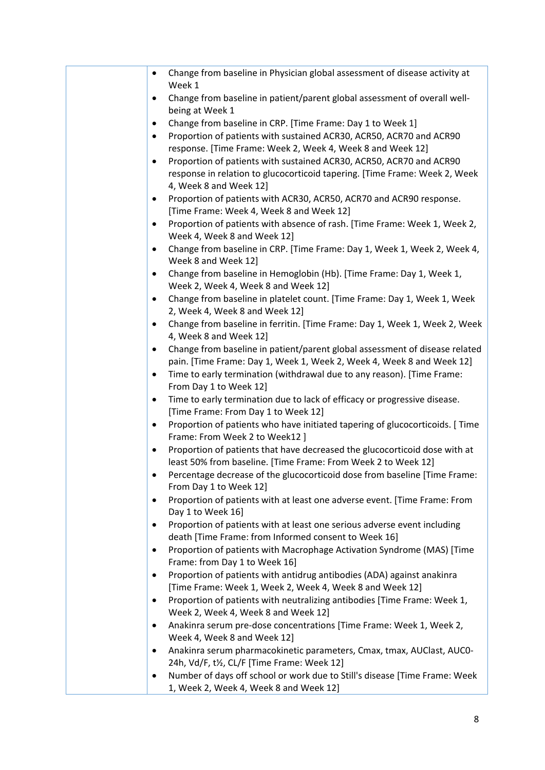| Change from baseline in Physician global assessment of disease activity at<br>$\bullet$<br>Week 1                                      |
|----------------------------------------------------------------------------------------------------------------------------------------|
| Change from baseline in patient/parent global assessment of overall well-<br>$\bullet$                                                 |
| being at Week 1                                                                                                                        |
| Change from baseline in CRP. [Time Frame: Day 1 to Week 1]<br>٠                                                                        |
| Proportion of patients with sustained ACR30, ACR50, ACR70 and ACR90<br>٠<br>response. [Time Frame: Week 2, Week 4, Week 8 and Week 12] |
| Proportion of patients with sustained ACR30, ACR50, ACR70 and ACR90<br>$\bullet$                                                       |
| response in relation to glucocorticoid tapering. [Time Frame: Week 2, Week<br>4, Week 8 and Week 12]                                   |
| Proportion of patients with ACR30, ACR50, ACR70 and ACR90 response.<br>٠<br>[Time Frame: Week 4, Week 8 and Week 12]                   |
| Proportion of patients with absence of rash. [Time Frame: Week 1, Week 2,<br>$\bullet$                                                 |
| Week 4, Week 8 and Week 12]                                                                                                            |
| Change from baseline in CRP. [Time Frame: Day 1, Week 1, Week 2, Week 4,<br>$\bullet$<br>Week 8 and Week 12]                           |
| Change from baseline in Hemoglobin (Hb). [Time Frame: Day 1, Week 1,<br>$\bullet$<br>Week 2, Week 4, Week 8 and Week 12]               |
| Change from baseline in platelet count. [Time Frame: Day 1, Week 1, Week<br>$\bullet$<br>2, Week 4, Week 8 and Week 12]                |
| Change from baseline in ferritin. [Time Frame: Day 1, Week 1, Week 2, Week<br>$\bullet$                                                |
| 4, Week 8 and Week 12]                                                                                                                 |
| Change from baseline in patient/parent global assessment of disease related<br>$\bullet$                                               |
| pain. [Time Frame: Day 1, Week 1, Week 2, Week 4, Week 8 and Week 12]                                                                  |
| Time to early termination (withdrawal due to any reason). [Time Frame:<br>$\bullet$<br>From Day 1 to Week 12]                          |
| Time to early termination due to lack of efficacy or progressive disease.<br>٠                                                         |
| [Time Frame: From Day 1 to Week 12]                                                                                                    |
| Proportion of patients who have initiated tapering of glucocorticoids. [ Time<br>$\bullet$                                             |
| Frame: From Week 2 to Week12 ]                                                                                                         |
| Proportion of patients that have decreased the glucocorticoid dose with at<br>٠                                                        |
| least 50% from baseline. [Time Frame: From Week 2 to Week 12]                                                                          |
| Percentage decrease of the glucocorticoid dose from baseline [Time Frame:<br>From Day 1 to Week 12]                                    |
| Proportion of patients with at least one adverse event. [Time Frame: From<br>٠                                                         |
| Day 1 to Week 16]                                                                                                                      |
| Proportion of patients with at least one serious adverse event including<br>٠                                                          |
| death [Time Frame: from Informed consent to Week 16]                                                                                   |
| Proportion of patients with Macrophage Activation Syndrome (MAS) [Time<br>$\bullet$<br>Frame: from Day 1 to Week 16]                   |
| Proportion of patients with antidrug antibodies (ADA) against anakinra<br>$\bullet$                                                    |
| [Time Frame: Week 1, Week 2, Week 4, Week 8 and Week 12]                                                                               |
| Proportion of patients with neutralizing antibodies [Time Frame: Week 1,<br>$\bullet$<br>Week 2, Week 4, Week 8 and Week 12]           |
| Anakinra serum pre-dose concentrations [Time Frame: Week 1, Week 2,<br>$\bullet$                                                       |
| Week 4, Week 8 and Week 12]                                                                                                            |
| Anakinra serum pharmacokinetic parameters, Cmax, tmax, AUClast, AUC0-<br>$\bullet$<br>24h, Vd/F, t½, CL/F [Time Frame: Week 12]        |
| Number of days off school or work due to Still's disease [Time Frame: Week                                                             |
| 1, Week 2, Week 4, Week 8 and Week 12]                                                                                                 |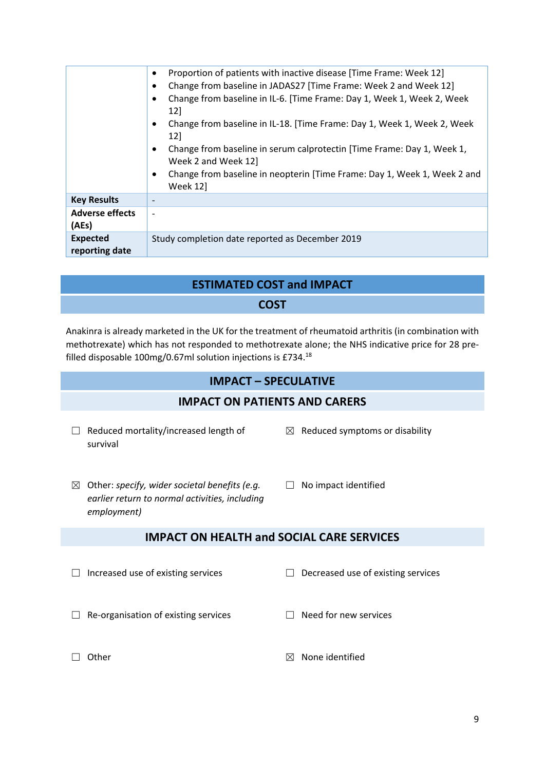|                                   | Proportion of patients with inactive disease [Time Frame: Week 12]<br>$\bullet$<br>Change from baseline in JADAS27 [Time Frame: Week 2 and Week 12]<br>٠<br>Change from baseline in IL-6. [Time Frame: Day 1, Week 1, Week 2, Week<br>12]<br>Change from baseline in IL-18. [Time Frame: Day 1, Week 1, Week 2, Week<br>$\bullet$<br>12]<br>Change from baseline in serum calprotectin [Time Frame: Day 1, Week 1,<br>$\bullet$<br>Week 2 and Week 12]<br>Change from baseline in neopterin [Time Frame: Day 1, Week 1, Week 2 and<br>$\bullet$<br>Week 12 |
|-----------------------------------|------------------------------------------------------------------------------------------------------------------------------------------------------------------------------------------------------------------------------------------------------------------------------------------------------------------------------------------------------------------------------------------------------------------------------------------------------------------------------------------------------------------------------------------------------------|
| <b>Key Results</b>                |                                                                                                                                                                                                                                                                                                                                                                                                                                                                                                                                                            |
| <b>Adverse effects</b><br>(AEs)   |                                                                                                                                                                                                                                                                                                                                                                                                                                                                                                                                                            |
| <b>Expected</b><br>reporting date | Study completion date reported as December 2019                                                                                                                                                                                                                                                                                                                                                                                                                                                                                                            |

## **ESTIMATED COST and IMPACT**

# **COST**

Anakinra is already marketed in the UK for the treatment of rheumatoid arthritis (in combination with methotrexate) which has not responded to methotrexate alone; the NHS indicative price for 28 prefilled disposable 100mg/0.67ml solution injections is £734.<sup>18</sup>

# **IMPACT – SPECULATIVE**

## **IMPACT ON PATIENTS AND CARERS**

- ☐ Reduced mortality/increased length of survival
- $\boxtimes$  Reduced symptoms or disability
- ☒ Other: *specify, wider societal benefits (e.g. earlier return to normal activities, including employment)*
- □ No impact identified

## **IMPACT ON HEALTH and SOCIAL CARE SERVICES**

- ☐ Increased use of existing services ☐ Decreased use of existing services
- ☐ Re-organisation of existing services ☐ Need for new services
- 

- 
- $\Box$  Other  $\Box$  Other  $\Box$  None identified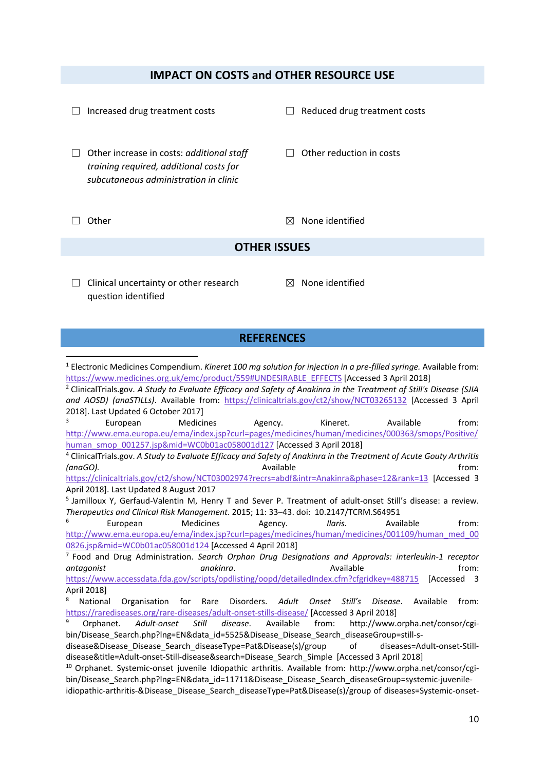## **IMPACT ON COSTS and OTHER RESOURCE USE**

| Increased drug treatment costs                                                                                                                                                                                                                                                                                                                                                                                                                                                                                                                                                                                                                                                                                                                                                                                                                                                  | Reduced drug treatment costs                         |  |  |  |  |
|---------------------------------------------------------------------------------------------------------------------------------------------------------------------------------------------------------------------------------------------------------------------------------------------------------------------------------------------------------------------------------------------------------------------------------------------------------------------------------------------------------------------------------------------------------------------------------------------------------------------------------------------------------------------------------------------------------------------------------------------------------------------------------------------------------------------------------------------------------------------------------|------------------------------------------------------|--|--|--|--|
| Other increase in costs: additional staff<br>training required, additional costs for<br>subcutaneous administration in clinic                                                                                                                                                                                                                                                                                                                                                                                                                                                                                                                                                                                                                                                                                                                                                   | Other reduction in costs                             |  |  |  |  |
| Other                                                                                                                                                                                                                                                                                                                                                                                                                                                                                                                                                                                                                                                                                                                                                                                                                                                                           | None identified<br>$\boxtimes$                       |  |  |  |  |
| <b>OTHER ISSUES</b>                                                                                                                                                                                                                                                                                                                                                                                                                                                                                                                                                                                                                                                                                                                                                                                                                                                             |                                                      |  |  |  |  |
| Clinical uncertainty or other research<br>question identified                                                                                                                                                                                                                                                                                                                                                                                                                                                                                                                                                                                                                                                                                                                                                                                                                   | None identified<br>$\bowtie$                         |  |  |  |  |
| <b>REFERENCES</b>                                                                                                                                                                                                                                                                                                                                                                                                                                                                                                                                                                                                                                                                                                                                                                                                                                                               |                                                      |  |  |  |  |
| <sup>1</sup> Electronic Medicines Compendium. Kineret 100 mg solution for injection in a pre-filled syringe. Available from:<br>https://www.medicines.org.uk/emc/product/559#UNDESIRABLE_EFFECTS [Accessed 3 April 2018]<br><sup>2</sup> ClinicalTrials.gov. A Study to Evaluate Efficacy and Safety of Anakinra in the Treatment of Still's Disease (SJIA<br>and AOSD) (anaSTILLs). Available from: https://clinicaltrials.gov/ct2/show/NCT03265132 [Accessed 3 April<br>2018]. Last Updated 6 October 2017]<br>3<br>European<br>Medicines<br>Agency.<br>http://www.ema.europa.eu/ema/index.jsp?curl=pages/medicines/human/medicines/000363/smops/Positive/<br>human_smop_001257.jsp∣=WC0b01ac058001d127 [Accessed 3 April 2018]<br><sup>4</sup> ClinicalTrials.gov. A Study to Evaluate Efficacy and Safety of Anakinra in the Treatment of Acute Gouty Arthritis<br>(anaGO). | Available<br>from:<br>Kineret.<br>Available<br>from: |  |  |  |  |
| https://clinicaltrials.gov/ct2/show/NCT03002974?recrs=abdf&intr=Anakinra&phase=12&rank=13 [Accessed 3<br>April 2018]. Last Updated 8 August 2017<br><sup>5</sup> Jamilloux Y, Gerfaud-Valentin M, Henry T and Sever P. Treatment of adult-onset Still's disease: a review.<br>Therapeutics and Clinical Risk Management. 2015; 11: 33-43. doi: 10.2147/TCRM.S64951<br>6<br><b>Medicines</b><br>European<br>Agency.<br>http://www.ema.europa.eu/ema/index.jsp?curl=pages/medicines/human/medicines/001109/human med 00<br>0826.jsp∣=WC0b01ac058001d124 [Accessed 4 April 2018]<br><sup>7</sup> Food and Drug Administration. Search Orphan Drug Designations and Approvals: interleukin-1 receptor                                                                                                                                                                               | Ilaris.<br>Available<br>from:                        |  |  |  |  |

<https://www.accessdata.fda.gov/scripts/opdlisting/oopd/detailedIndex.cfm?cfgridkey=488715> [Accessed 3 April 2018]

<sup>8</sup> National Organisation for Rare Disorders. *Adult Onset Still's Disease*. Available from: <https://rarediseases.org/rare-diseases/adult-onset-stills-disease/> [Accessed 3 April 2018]

<sup>9</sup> Orphanet*. Adult-onset Still disease*. Available from: http://www.orpha.net/consor/cgibin/Disease\_Search.php?lng=EN&data\_id=5525&Disease\_Disease\_Search\_diseaseGroup=still-s-

disease&Disease\_Disease\_Search\_diseaseType=Pat&Disease(s)/group of diseases=Adult-onset-Stilldisease&title=Adult-onset-Still-disease&search=Disease\_Search\_Simple [Accessed 3 April 2018]

<sup>10</sup> Orphanet. Systemic-onset juvenile Idiopathic arthritis. Available from: http://www.orpha.net/consor/cgibin/Disease Search.php?lng=EN&data\_id=11711&Disease\_Disease\_Search\_diseaseGroup=systemic-juvenileidiopathic-arthritis-&Disease\_Disease\_Search\_diseaseType=Pat&Disease(s)/group of diseases=Systemic-onset